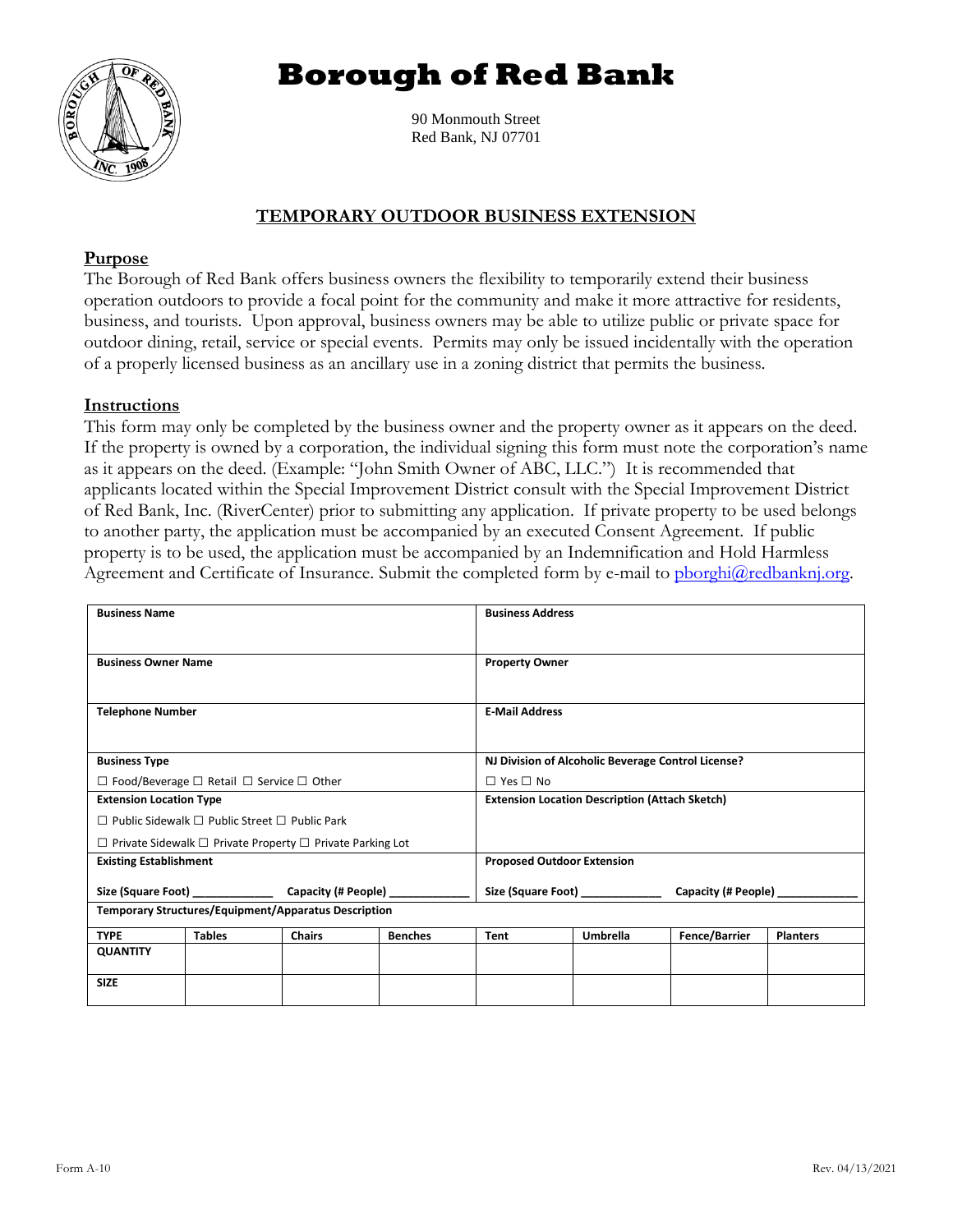# **Borough of Red Bank**



90 Monmouth Street Red Bank, NJ 07701

# **TEMPORARY OUTDOOR BUSINESS EXTENSION**

# **Purpose**

The Borough of Red Bank offers business owners the flexibility to temporarily extend their business operation outdoors to provide a focal point for the community and make it more attractive for residents, business, and tourists. Upon approval, business owners may be able to utilize public or private space for outdoor dining, retail, service or special events. Permits may only be issued incidentally with the operation of a properly licensed business as an ancillary use in a zoning district that permits the business.

#### **Instructions**

This form may only be completed by the business owner and the property owner as it appears on the deed. If the property is owned by a corporation, the individual signing this form must note the corporation's name as it appears on the deed. (Example: "John Smith Owner of ABC, LLC.") It is recommended that applicants located within the Special Improvement District consult with the Special Improvement District of Red Bank, Inc. (RiverCenter) prior to submitting any application. If private property to be used belongs to another party, the application must be accompanied by an executed Consent Agreement. If public property is to be used, the application must be accompanied by an Indemnification and Hold Harmless Agreement and Certificate of Insurance. Submit the completed form by e-mail to phorghi@redbanknj.org.

| <b>Business Name</b>                                                       |               |                                                                       | <b>Business Address</b>                               |                       |                 |                      |                 |
|----------------------------------------------------------------------------|---------------|-----------------------------------------------------------------------|-------------------------------------------------------|-----------------------|-----------------|----------------------|-----------------|
|                                                                            |               |                                                                       |                                                       |                       |                 |                      |                 |
| <b>Business Owner Name</b>                                                 |               |                                                                       |                                                       | <b>Property Owner</b> |                 |                      |                 |
|                                                                            |               |                                                                       |                                                       |                       |                 |                      |                 |
| <b>Telephone Number</b>                                                    |               |                                                                       |                                                       | <b>E-Mail Address</b> |                 |                      |                 |
|                                                                            |               |                                                                       |                                                       |                       |                 |                      |                 |
| <b>Business Type</b>                                                       |               |                                                                       | NJ Division of Alcoholic Beverage Control License?    |                       |                 |                      |                 |
| $\Box$ Food/Beverage $\Box$ Retail $\Box$ Service $\Box$ Other             |               |                                                                       | $\Box$ Yes $\Box$ No                                  |                       |                 |                      |                 |
| <b>Extension Location Type</b>                                             |               |                                                                       | <b>Extension Location Description (Attach Sketch)</b> |                       |                 |                      |                 |
| $\Box$ Public Sidewalk $\Box$ Public Street $\Box$ Public Park             |               |                                                                       |                                                       |                       |                 |                      |                 |
| $\Box$ Private Sidewalk $\Box$ Private Property $\Box$ Private Parking Lot |               |                                                                       |                                                       |                       |                 |                      |                 |
| <b>Existing Establishment</b>                                              |               |                                                                       | <b>Proposed Outdoor Extension</b>                     |                       |                 |                      |                 |
|                                                                            |               | Size (Square Foot) _____________<br>Capacity (# People) _____________ |                                                       |                       |                 |                      |                 |
| <b>Temporary Structures/Equipment/Apparatus Description</b>                |               |                                                                       |                                                       |                       |                 |                      |                 |
| <b>TYPE</b>                                                                | <b>Tables</b> | <b>Chairs</b>                                                         | <b>Benches</b>                                        | Tent                  | <b>Umbrella</b> | <b>Fence/Barrier</b> | <b>Planters</b> |
| <b>QUANTITY</b>                                                            |               |                                                                       |                                                       |                       |                 |                      |                 |
| <b>SIZE</b>                                                                |               |                                                                       |                                                       |                       |                 |                      |                 |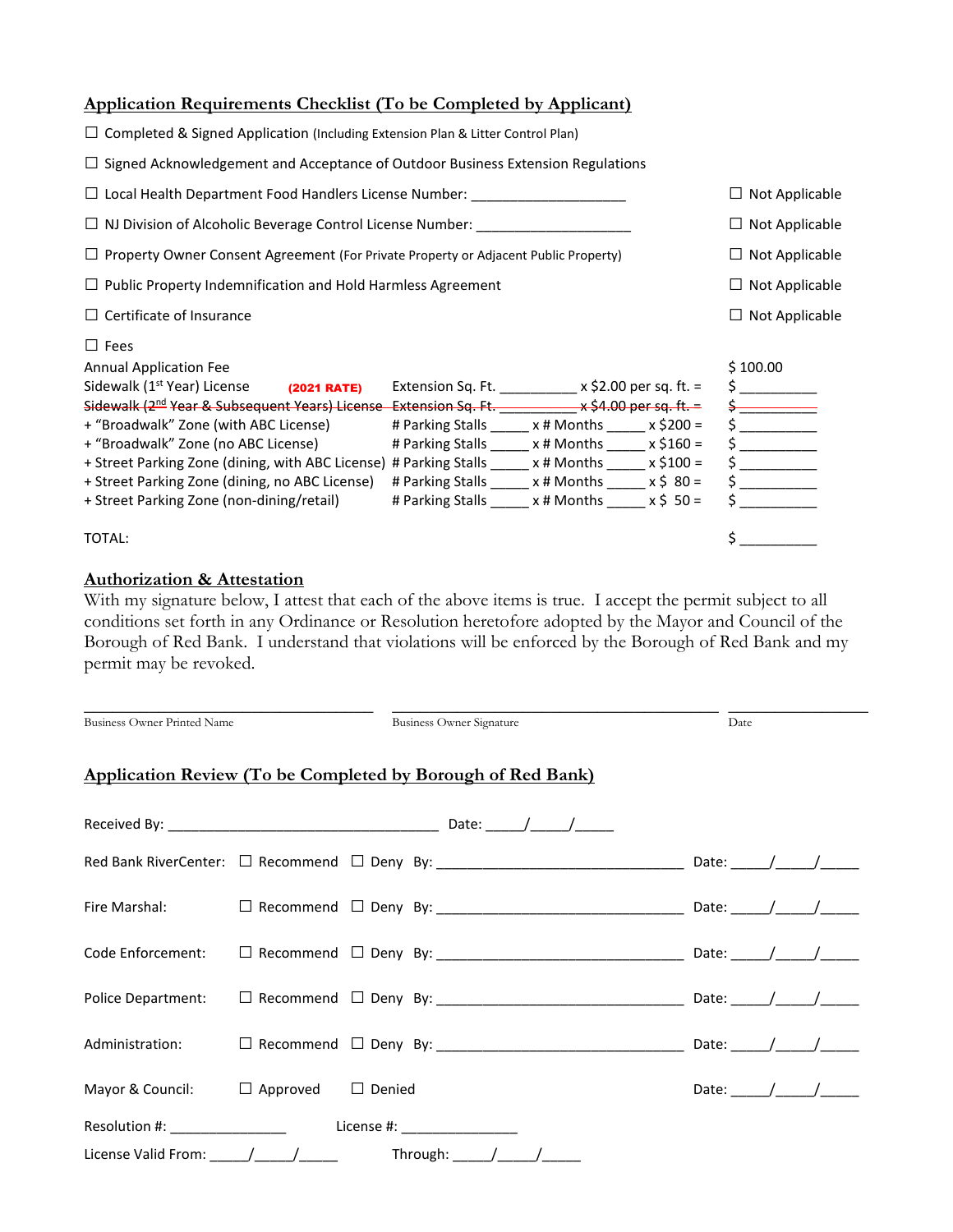# **Application Requirements Checklist (To be Completed by Applicant)**

| $\Box$ Completed & Signed Application (Including Extension Plan & Litter Control Plan)                                                                                                                                                                                                                                                                                                                                                                                                             |                                                                                                                                                                                                                                                                                                                                   |  |  |                                                                                                                       |
|----------------------------------------------------------------------------------------------------------------------------------------------------------------------------------------------------------------------------------------------------------------------------------------------------------------------------------------------------------------------------------------------------------------------------------------------------------------------------------------------------|-----------------------------------------------------------------------------------------------------------------------------------------------------------------------------------------------------------------------------------------------------------------------------------------------------------------------------------|--|--|-----------------------------------------------------------------------------------------------------------------------|
| $\Box$ Signed Acknowledgement and Acceptance of Outdoor Business Extension Regulations                                                                                                                                                                                                                                                                                                                                                                                                             |                                                                                                                                                                                                                                                                                                                                   |  |  |                                                                                                                       |
| $\Box$ Local Health Department Food Handlers License Number: ______________________                                                                                                                                                                                                                                                                                                                                                                                                                |                                                                                                                                                                                                                                                                                                                                   |  |  | $\Box$ Not Applicable                                                                                                 |
| $\square$ NJ Division of Alcoholic Beverage Control License Number: $\_{$                                                                                                                                                                                                                                                                                                                                                                                                                          |                                                                                                                                                                                                                                                                                                                                   |  |  | $\Box$ Not Applicable                                                                                                 |
| $\Box$ Property Owner Consent Agreement (For Private Property or Adjacent Public Property)                                                                                                                                                                                                                                                                                                                                                                                                         |                                                                                                                                                                                                                                                                                                                                   |  |  | $\Box$ Not Applicable                                                                                                 |
| $\Box$ Public Property Indemnification and Hold Harmless Agreement                                                                                                                                                                                                                                                                                                                                                                                                                                 |                                                                                                                                                                                                                                                                                                                                   |  |  | $\Box$ Not Applicable                                                                                                 |
| $\Box$ Certificate of Insurance                                                                                                                                                                                                                                                                                                                                                                                                                                                                    |                                                                                                                                                                                                                                                                                                                                   |  |  | $\Box$ Not Applicable                                                                                                 |
| $\Box$ Fees<br><b>Annual Application Fee</b><br><b>(2021 RATE)</b><br>Sidewalk (1 <sup>st</sup> Year) License<br>Sidewalk $(2^{nd}$ Year & Subsequent Years) License Extension Sq. Ft. $\overline{\phantom{a}}$ $\overline{\phantom{a}}$ x \$4.00 per sq. ft. =<br>+ "Broadwalk" Zone (with ABC License)<br>+ "Broadwalk" Zone (no ABC License)<br>+ Street Parking Zone (dining, with ABC License)<br>+ Street Parking Zone (dining, no ABC License)<br>+ Street Parking Zone (non-dining/retail) | Extension Sq. Ft. ____________ x \$2.00 per sq. ft. =<br># Parking Stalls _____ x # Months _____ x \$200 =<br># Parking Stalls ______ x # Months _____ x \$160 =<br># Parking Stalls ______ x # Months _____ x \$100 =<br># Parking Stalls _____ x # Months _____ x \$ 80 =<br># Parking Stalls ______ x # Months _____ x \$ 50 = |  |  | \$100.00<br>$\sharp$ and $\sharp$<br>$\frac{1}{2}$<br>$\frac{1}{2}$<br>$\frac{1}{2}$<br>$\mathsf{S}$ and $\mathsf{S}$ |
| TOTAL:                                                                                                                                                                                                                                                                                                                                                                                                                                                                                             |                                                                                                                                                                                                                                                                                                                                   |  |  | \$                                                                                                                    |

#### **Authorization & Attestation**

With my signature below, I attest that each of the above items is true. I accept the permit subject to all conditions set forth in any Ordinance or Resolution heretofore adopted by the Mayor and Council of the Borough of Red Bank. I understand that violations will be enforced by the Borough of Red Bank and my permit may be revoked.

| <b>Business Owner Printed Name</b>             |  | <b>Business Owner Signature</b>                                    | Date                                                                                                                                                                                                                                                                                                                                                                                                                     |  |
|------------------------------------------------|--|--------------------------------------------------------------------|--------------------------------------------------------------------------------------------------------------------------------------------------------------------------------------------------------------------------------------------------------------------------------------------------------------------------------------------------------------------------------------------------------------------------|--|
|                                                |  | <b>Application Review (To be Completed by Borough of Red Bank)</b> |                                                                                                                                                                                                                                                                                                                                                                                                                          |  |
|                                                |  |                                                                    |                                                                                                                                                                                                                                                                                                                                                                                                                          |  |
|                                                |  |                                                                    |                                                                                                                                                                                                                                                                                                                                                                                                                          |  |
|                                                |  |                                                                    |                                                                                                                                                                                                                                                                                                                                                                                                                          |  |
| Code Enforcement:                              |  |                                                                    |                                                                                                                                                                                                                                                                                                                                                                                                                          |  |
| Police Department:                             |  |                                                                    |                                                                                                                                                                                                                                                                                                                                                                                                                          |  |
| Administration:                                |  |                                                                    |                                                                                                                                                                                                                                                                                                                                                                                                                          |  |
| Mayor & Council: $\Box$ Approved $\Box$ Denied |  |                                                                    | Date: $\frac{1}{\sqrt{1-\frac{1}{2}}}\frac{1}{\sqrt{1-\frac{1}{2}}}\frac{1}{\sqrt{1-\frac{1}{2}}}\frac{1}{\sqrt{1-\frac{1}{2}}}\frac{1}{\sqrt{1-\frac{1}{2}}}\frac{1}{\sqrt{1-\frac{1}{2}}}\frac{1}{\sqrt{1-\frac{1}{2}}}\frac{1}{\sqrt{1-\frac{1}{2}}}\frac{1}{\sqrt{1-\frac{1}{2}}}\frac{1}{\sqrt{1-\frac{1}{2}}}\frac{1}{\sqrt{1-\frac{1}{2}}}\frac{1}{\sqrt{1-\frac{1}{2}}}\frac{1}{\sqrt{1-\frac{1}{2}}}\frac{1}{\$ |  |
| Resolution #: _______________                  |  | License #: _________________                                       |                                                                                                                                                                                                                                                                                                                                                                                                                          |  |
|                                                |  |                                                                    |                                                                                                                                                                                                                                                                                                                                                                                                                          |  |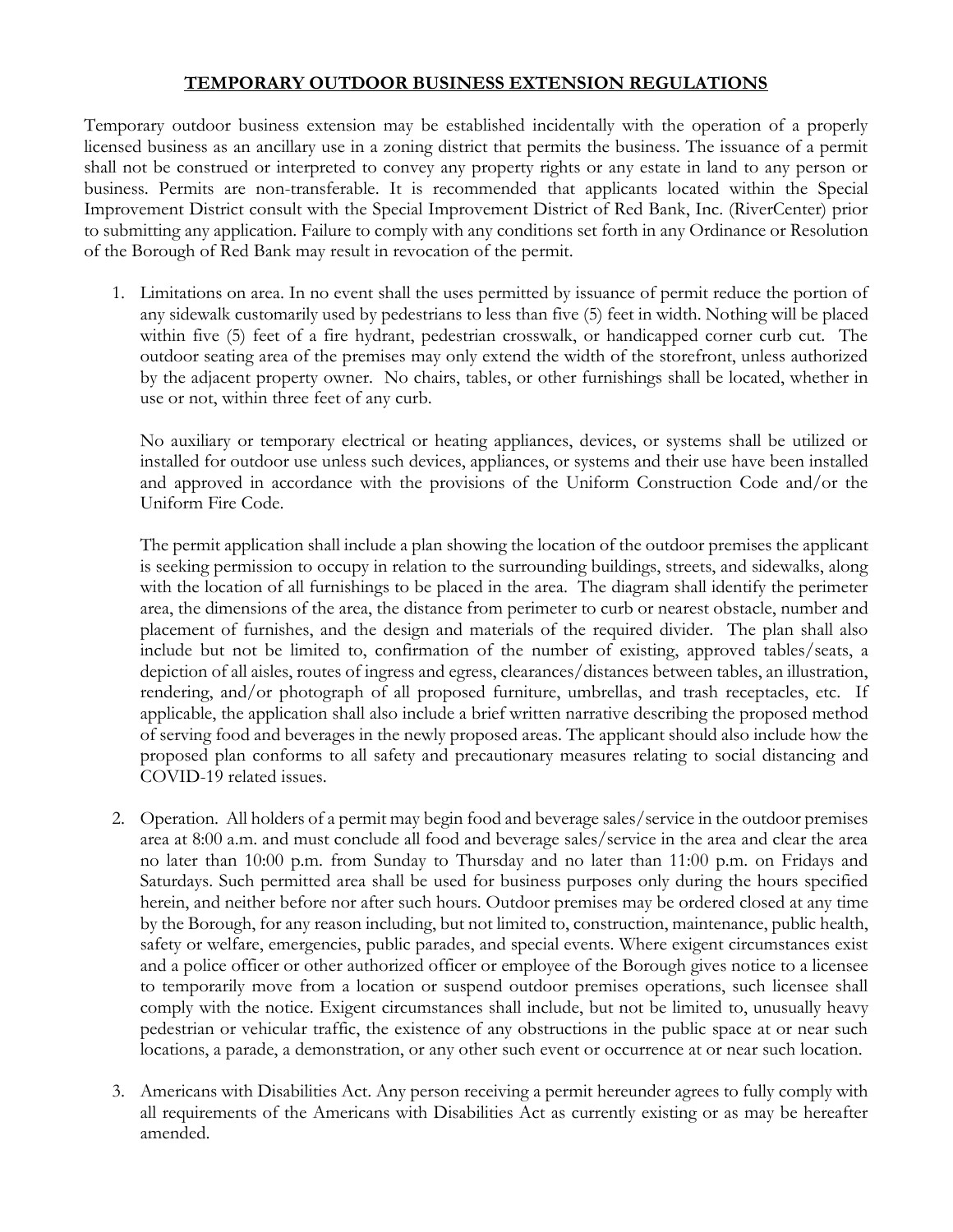# **TEMPORARY OUTDOOR BUSINESS EXTENSION REGULATIONS**

Temporary outdoor business extension may be established incidentally with the operation of a properly licensed business as an ancillary use in a zoning district that permits the business. The issuance of a permit shall not be construed or interpreted to convey any property rights or any estate in land to any person or business. Permits are non-transferable. It is recommended that applicants located within the Special Improvement District consult with the Special Improvement District of Red Bank, Inc. (RiverCenter) prior to submitting any application. Failure to comply with any conditions set forth in any Ordinance or Resolution of the Borough of Red Bank may result in revocation of the permit.

1. Limitations on area. In no event shall the uses permitted by issuance of permit reduce the portion of any sidewalk customarily used by pedestrians to less than five (5) feet in width. Nothing will be placed within five (5) feet of a fire hydrant, pedestrian crosswalk, or handicapped corner curb cut. The outdoor seating area of the premises may only extend the width of the storefront, unless authorized by the adjacent property owner. No chairs, tables, or other furnishings shall be located, whether in use or not, within three feet of any curb.

No auxiliary or temporary electrical or heating appliances, devices, or systems shall be utilized or installed for outdoor use unless such devices, appliances, or systems and their use have been installed and approved in accordance with the provisions of the Uniform Construction Code and/or the Uniform Fire Code.

The permit application shall include a plan showing the location of the outdoor premises the applicant is seeking permission to occupy in relation to the surrounding buildings, streets, and sidewalks, along with the location of all furnishings to be placed in the area. The diagram shall identify the perimeter area, the dimensions of the area, the distance from perimeter to curb or nearest obstacle, number and placement of furnishes, and the design and materials of the required divider. The plan shall also include but not be limited to, confirmation of the number of existing, approved tables/seats, a depiction of all aisles, routes of ingress and egress, clearances/distances between tables, an illustration, rendering, and/or photograph of all proposed furniture, umbrellas, and trash receptacles, etc. If applicable, the application shall also include a brief written narrative describing the proposed method of serving food and beverages in the newly proposed areas. The applicant should also include how the proposed plan conforms to all safety and precautionary measures relating to social distancing and COVID-19 related issues.

- 2. Operation. All holders of a permit may begin food and beverage sales/service in the outdoor premises area at 8:00 a.m. and must conclude all food and beverage sales/service in the area and clear the area no later than 10:00 p.m. from Sunday to Thursday and no later than 11:00 p.m. on Fridays and Saturdays. Such permitted area shall be used for business purposes only during the hours specified herein, and neither before nor after such hours. Outdoor premises may be ordered closed at any time by the Borough, for any reason including, but not limited to, construction, maintenance, public health, safety or welfare, emergencies, public parades, and special events. Where exigent circumstances exist and a police officer or other authorized officer or employee of the Borough gives notice to a licensee to temporarily move from a location or suspend outdoor premises operations, such licensee shall comply with the notice. Exigent circumstances shall include, but not be limited to, unusually heavy pedestrian or vehicular traffic, the existence of any obstructions in the public space at or near such locations, a parade, a demonstration, or any other such event or occurrence at or near such location.
- 3. Americans with Disabilities Act. Any person receiving a permit hereunder agrees to fully comply with all requirements of the Americans with Disabilities Act as currently existing or as may be hereafter amended.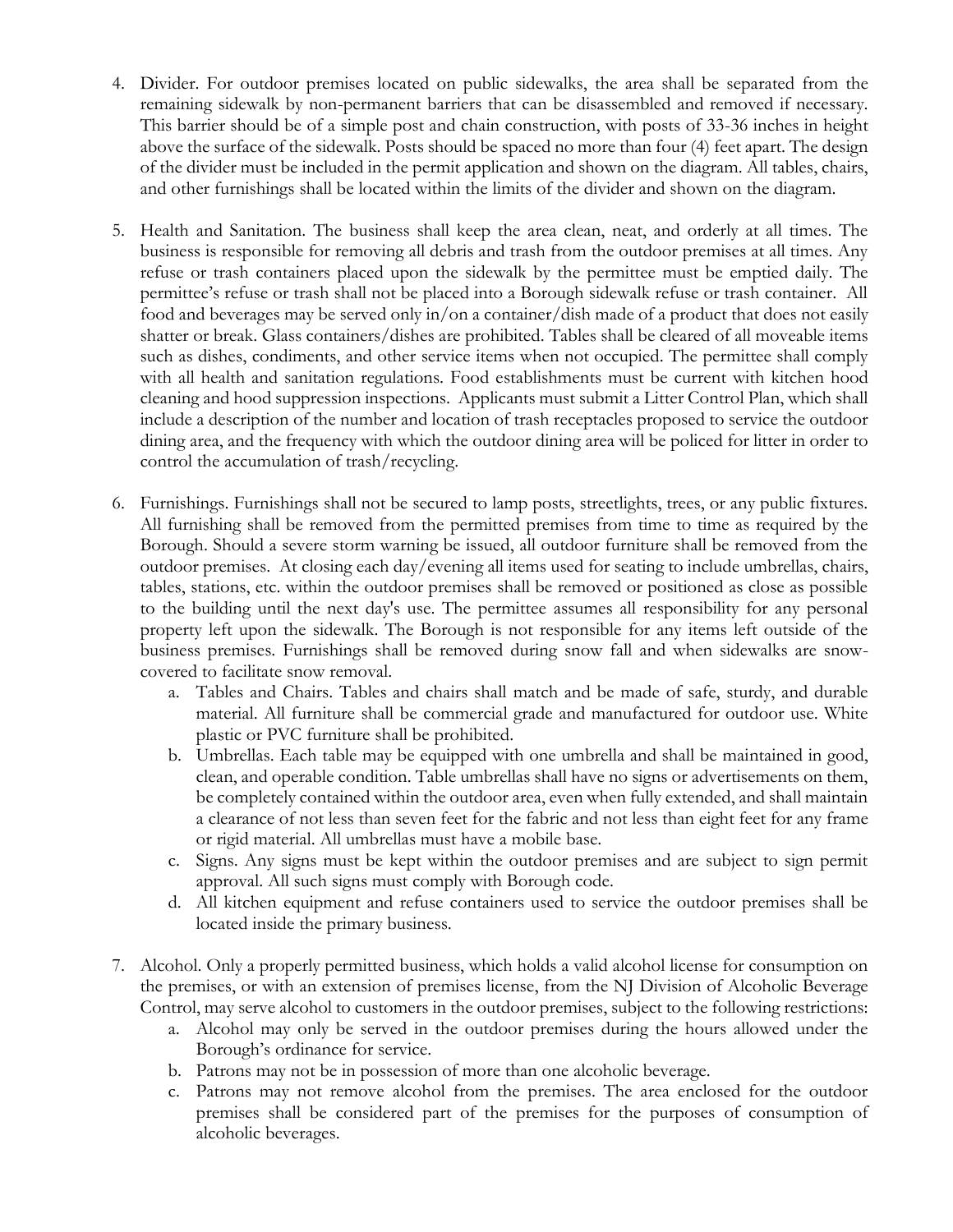- 4. Divider. For outdoor premises located on public sidewalks, the area shall be separated from the remaining sidewalk by non-permanent barriers that can be disassembled and removed if necessary. This barrier should be of a simple post and chain construction, with posts of 33-36 inches in height above the surface of the sidewalk. Posts should be spaced no more than four (4) feet apart. The design of the divider must be included in the permit application and shown on the diagram. All tables, chairs, and other furnishings shall be located within the limits of the divider and shown on the diagram.
- 5. Health and Sanitation. The business shall keep the area clean, neat, and orderly at all times. The business is responsible for removing all debris and trash from the outdoor premises at all times. Any refuse or trash containers placed upon the sidewalk by the permittee must be emptied daily. The permittee's refuse or trash shall not be placed into a Borough sidewalk refuse or trash container. All food and beverages may be served only in/on a container/dish made of a product that does not easily shatter or break. Glass containers/dishes are prohibited. Tables shall be cleared of all moveable items such as dishes, condiments, and other service items when not occupied. The permittee shall comply with all health and sanitation regulations. Food establishments must be current with kitchen hood cleaning and hood suppression inspections. Applicants must submit a Litter Control Plan, which shall include a description of the number and location of trash receptacles proposed to service the outdoor dining area, and the frequency with which the outdoor dining area will be policed for litter in order to control the accumulation of trash/recycling.
- 6. Furnishings. Furnishings shall not be secured to lamp posts, streetlights, trees, or any public fixtures. All furnishing shall be removed from the permitted premises from time to time as required by the Borough. Should a severe storm warning be issued, all outdoor furniture shall be removed from the outdoor premises. At closing each day/evening all items used for seating to include umbrellas, chairs, tables, stations, etc. within the outdoor premises shall be removed or positioned as close as possible to the building until the next day's use. The permittee assumes all responsibility for any personal property left upon the sidewalk. The Borough is not responsible for any items left outside of the business premises. Furnishings shall be removed during snow fall and when sidewalks are snowcovered to facilitate snow removal.
	- a. Tables and Chairs. Tables and chairs shall match and be made of safe, sturdy, and durable material. All furniture shall be commercial grade and manufactured for outdoor use. White plastic or PVC furniture shall be prohibited.
	- b. Umbrellas. Each table may be equipped with one umbrella and shall be maintained in good, clean, and operable condition. Table umbrellas shall have no signs or advertisements on them, be completely contained within the outdoor area, even when fully extended, and shall maintain a clearance of not less than seven feet for the fabric and not less than eight feet for any frame or rigid material. All umbrellas must have a mobile base.
	- c. Signs. Any signs must be kept within the outdoor premises and are subject to sign permit approval. All such signs must comply with Borough code.
	- d. All kitchen equipment and refuse containers used to service the outdoor premises shall be located inside the primary business.
- 7. Alcohol. Only a properly permitted business, which holds a valid alcohol license for consumption on the premises, or with an extension of premises license, from the NJ Division of Alcoholic Beverage Control, may serve alcohol to customers in the outdoor premises, subject to the following restrictions:
	- a. Alcohol may only be served in the outdoor premises during the hours allowed under the Borough's ordinance for service.
	- b. Patrons may not be in possession of more than one alcoholic beverage.
	- c. Patrons may not remove alcohol from the premises. The area enclosed for the outdoor premises shall be considered part of the premises for the purposes of consumption of alcoholic beverages.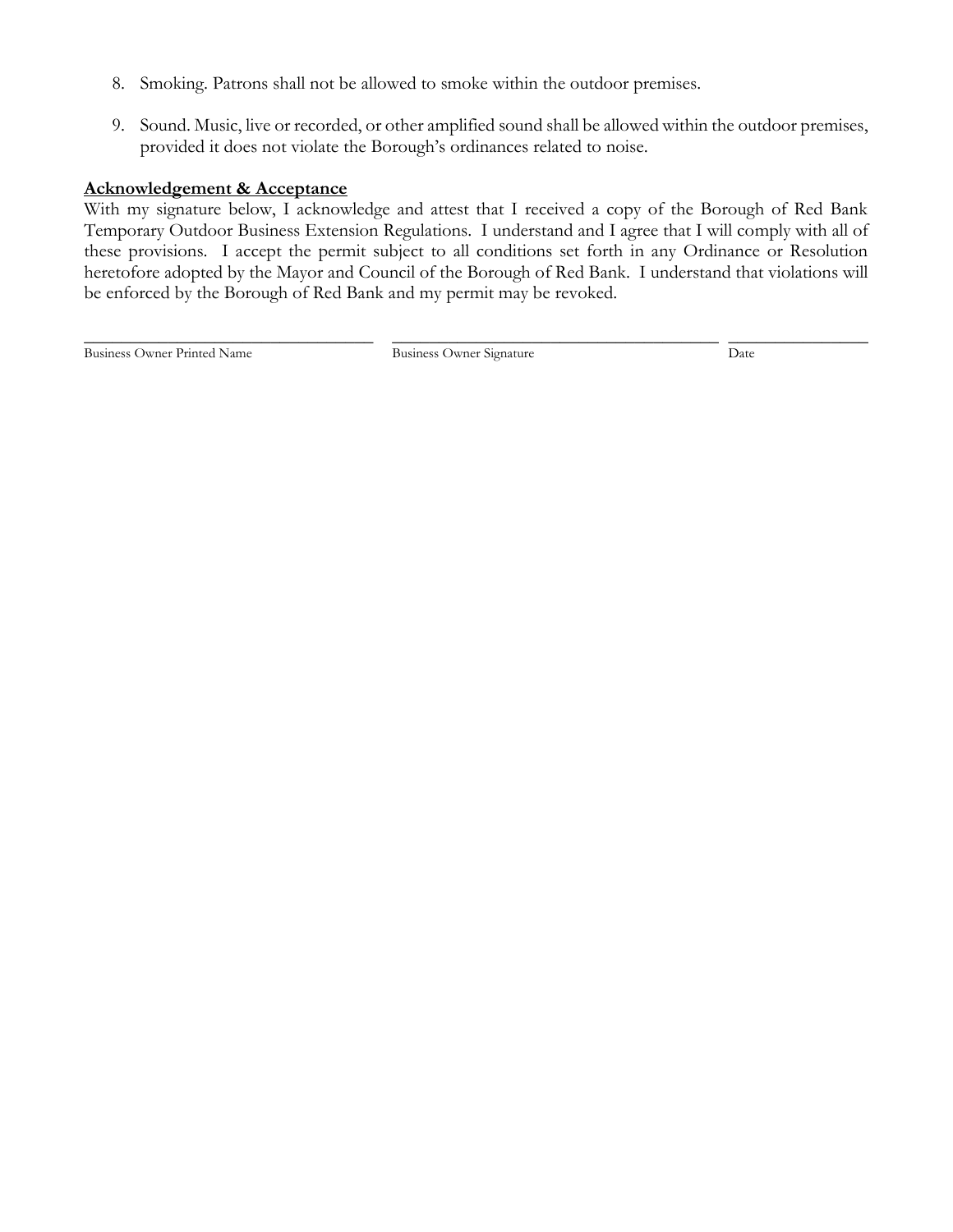- 8. Smoking. Patrons shall not be allowed to smoke within the outdoor premises.
- 9. Sound. Music, live or recorded, or other amplified sound shall be allowed within the outdoor premises, provided it does not violate the Borough's ordinances related to noise.

### **Acknowledgement & Acceptance**

With my signature below, I acknowledge and attest that I received a copy of the Borough of Red Bank Temporary Outdoor Business Extension Regulations. I understand and I agree that I will comply with all of these provisions. I accept the permit subject to all conditions set forth in any Ordinance or Resolution heretofore adopted by the Mayor and Council of the Borough of Red Bank. I understand that violations will be enforced by the Borough of Red Bank and my permit may be revoked.

Business Owner Printed Name Business Owner Signature Date Date

\_\_\_\_\_\_\_\_\_\_\_\_\_\_\_\_\_\_\_\_\_\_\_\_\_\_\_\_\_\_\_ \_\_\_\_\_\_\_\_\_\_\_\_\_\_\_\_\_\_\_\_\_\_\_\_\_\_\_\_\_\_\_\_\_\_\_ \_\_\_\_\_\_\_\_\_\_\_\_\_\_\_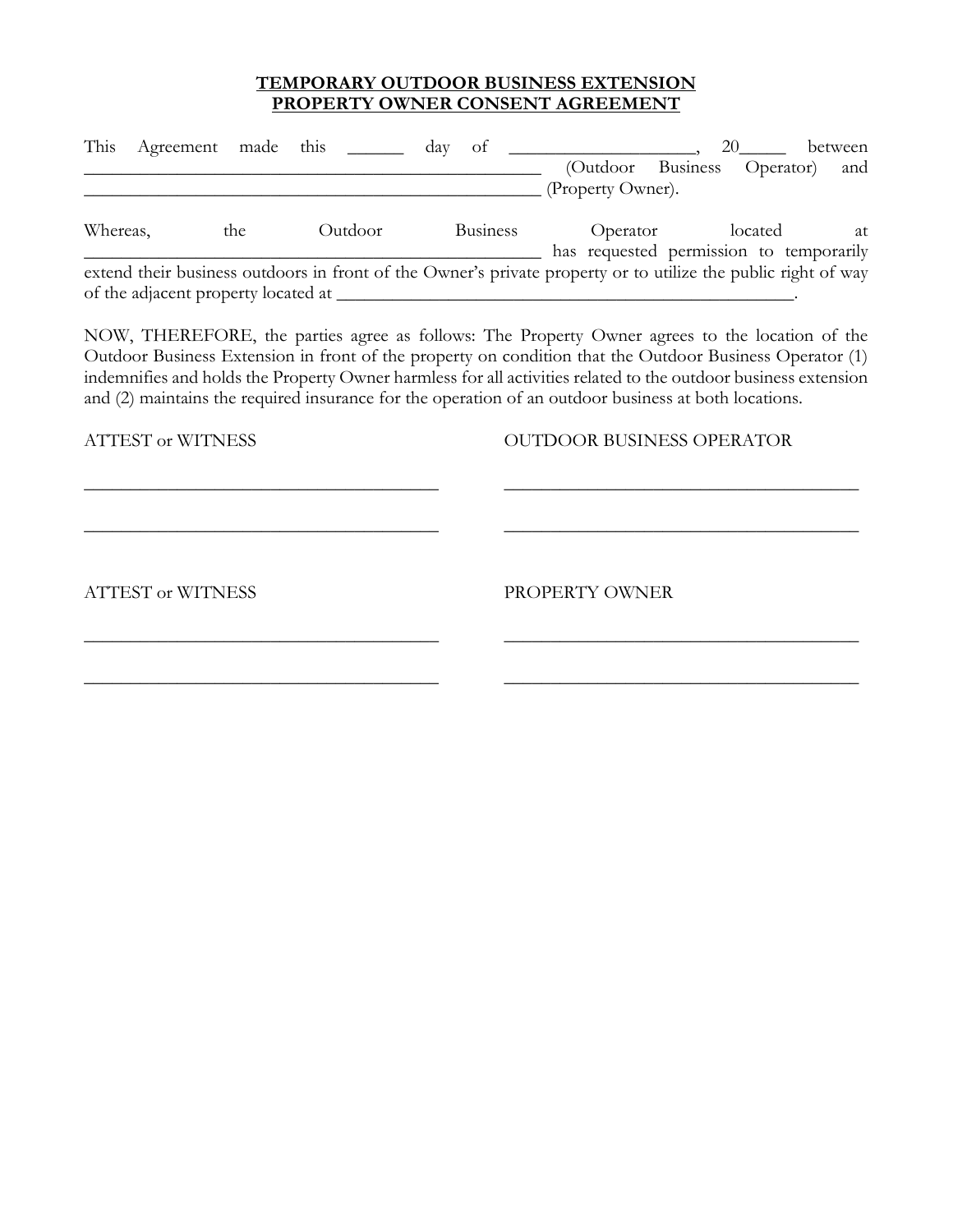# **TEMPORARY OUTDOOR BUSINESS EXTENSION PROPERTY OWNER CONSENT AGREEMENT**

| This     | Agreement made this                 |         | day<br>οt                                                                                                     | (Outdoor Business<br>(Property Owner). | 20      | between<br>(Operator<br>and                   |
|----------|-------------------------------------|---------|---------------------------------------------------------------------------------------------------------------|----------------------------------------|---------|-----------------------------------------------|
| Whereas, | the                                 | Outdoor | <b>Business</b>                                                                                               | Operator                               | located | at<br>has requested permission to temporarily |
|          | of the adjacent property located at |         | extend their business outdoors in front of the Owner's private property or to utilize the public right of way |                                        |         |                                               |

NOW, THEREFORE, the parties agree as follows: The Property Owner agrees to the location of the Outdoor Business Extension in front of the property on condition that the Outdoor Business Operator (1) indemnifies and holds the Property Owner harmless for all activities related to the outdoor business extension and (2) maintains the required insurance for the operation of an outdoor business at both locations.

\_\_\_\_\_\_\_\_\_\_\_\_\_\_\_\_\_\_\_\_\_\_\_\_\_\_\_\_\_\_\_\_\_\_\_\_\_\_ \_\_\_\_\_\_\_\_\_\_\_\_\_\_\_\_\_\_\_\_\_\_\_\_\_\_\_\_\_\_\_\_\_\_\_\_\_\_

\_\_\_\_\_\_\_\_\_\_\_\_\_\_\_\_\_\_\_\_\_\_\_\_\_\_\_\_\_\_\_\_\_\_\_\_\_\_ \_\_\_\_\_\_\_\_\_\_\_\_\_\_\_\_\_\_\_\_\_\_\_\_\_\_\_\_\_\_\_\_\_\_\_\_\_\_

\_\_\_\_\_\_\_\_\_\_\_\_\_\_\_\_\_\_\_\_\_\_\_\_\_\_\_\_\_\_\_\_\_\_\_\_\_\_ \_\_\_\_\_\_\_\_\_\_\_\_\_\_\_\_\_\_\_\_\_\_\_\_\_\_\_\_\_\_\_\_\_\_\_\_\_\_

\_\_\_\_\_\_\_\_\_\_\_\_\_\_\_\_\_\_\_\_\_\_\_\_\_\_\_\_\_\_\_\_\_\_\_\_\_\_ \_\_\_\_\_\_\_\_\_\_\_\_\_\_\_\_\_\_\_\_\_\_\_\_\_\_\_\_\_\_\_\_\_\_\_\_\_\_

ATTEST or WITNESS AND CONTROOR BUSINESS OPERATOR

ATTEST or WITNESS PROPERTY OWNER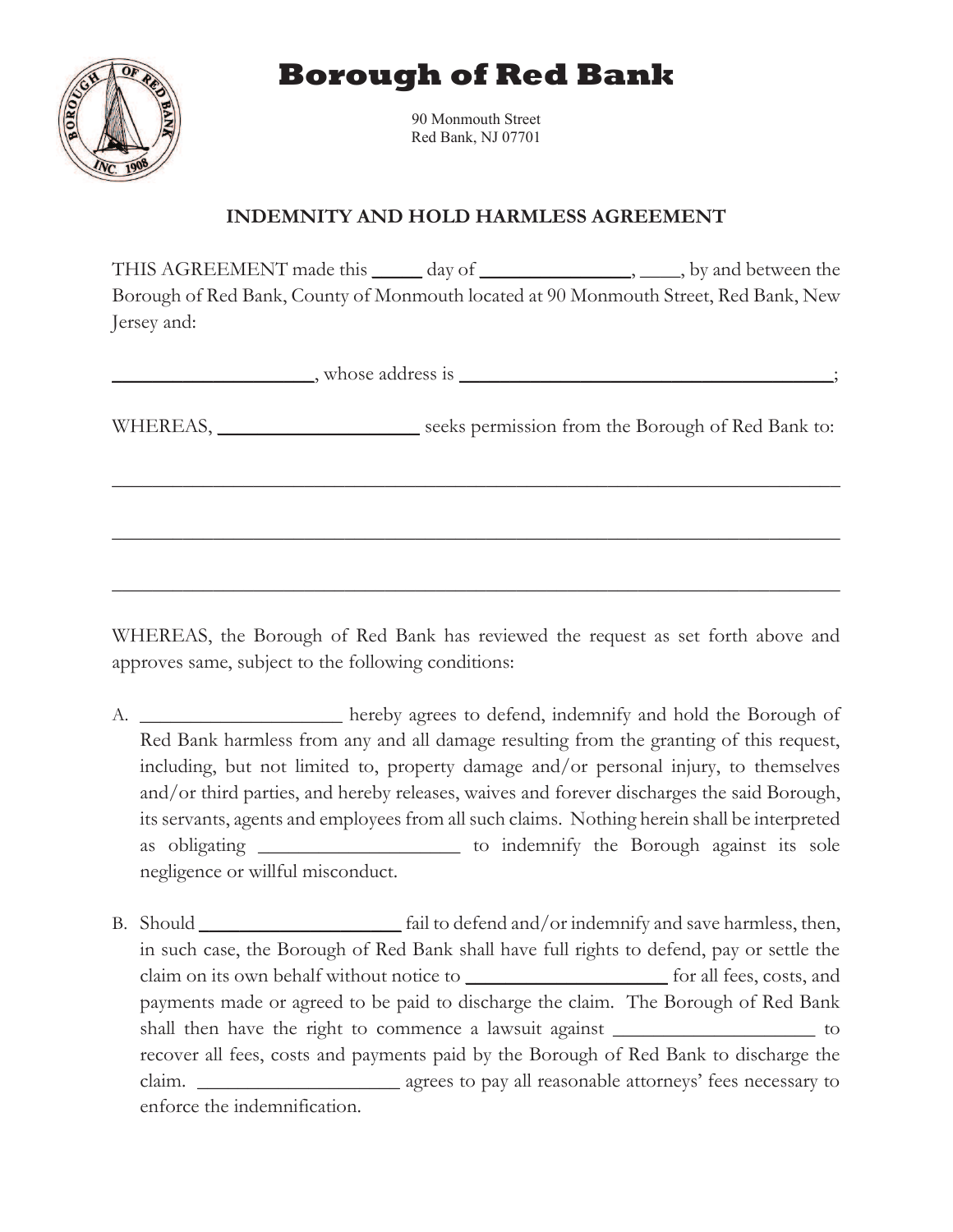**Borough of Red Bank** 



90 Monmouth Street Red Bank, NJ 07701

# **INDEMNITY AND HOLD HARMLESS AGREEMENT**

THIS AGREEMENT made this \_\_\_\_\_ day of \_\_\_\_\_\_\_\_\_\_\_\_\_\_\_\_, \_\_\_\_\_, by and between the Borough of Red Bank, County of Monmouth located at 90 Monmouth Street, Red Bank, New Jersey and:

WHEREAS, the Borough of Red Bank has reviewed the request as set forth above and approves same, subject to the following conditions:

- A. **\_\_\_\_\_\_\_\_\_\_\_\_\_\_\_\_\_\_\_\_** hereby agrees to defend, indemnify and hold the Borough of Red Bank harmless from any and all damage resulting from the granting of this request, including, but not limited to, property damage and/or personal injury, to themselves and/or third parties, and hereby releases, waives and forever discharges the said Borough, its servants, agents and employees from all such claims. Nothing herein shall be interpreted as obligating **\_\_\_\_\_\_\_\_\_\_\_\_\_\_\_\_\_\_\_\_** to indemnify the Borough against its sole negligence or willful misconduct.
- B. Should **\_\_\_\_\_\_\_\_\_\_\_\_\_\_\_\_\_\_\_\_** fail to defend and/or indemnify and save harmless, then, in such case, the Borough of Red Bank shall have full rights to defend, pay or settle the claim on its own behalf without notice to **\_\_\_\_\_\_\_\_\_\_\_\_\_\_\_\_\_\_\_\_** for all fees, costs, and payments made or agreed to be paid to discharge the claim. The Borough of Red Bank shall then have the right to commence a lawsuit against **\_\_\_\_\_\_\_\_\_\_\_\_\_\_\_\_\_\_\_\_** to recover all fees, costs and payments paid by the Borough of Red Bank to discharge the claim. **\_\_\_\_\_\_\_\_\_\_\_\_\_\_\_\_\_\_\_\_** agrees to pay all reasonable attorneys' fees necessary to enforce the indemnification.